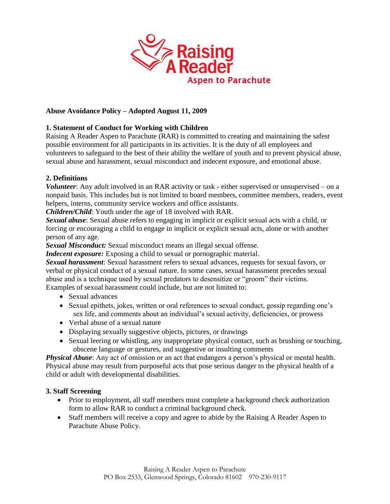

# **Abuse Avoidance Policy – Adopted August 11, 2009**

# **1. Statement of Conduct for Working with Children**

Raising A Reader Aspen to Parachute (RAR) is committed to creating and maintaining the safest possible environment for all participants in its activities. It is the duty of all employees and volunteers to safeguard to the best of their ability the welfare of youth and to prevent physical abuse, sexual abuse and harassment, sexual misconduct and indecent exposure, and emotional abuse.

## **2. Definitions**

*Volunteer*: Any adult involved in an RAR activity or task - either supervised or unsupervised – on a nonpaid basis. This includes but is not limited to board members, committee members, readers, event helpers, interns, community service workers and office assistants.

*Children/Child*: Youth under the age of 18 involved with RAR.

*Sexual abuse*: Sexual abuse refers to engaging in implicit or explicit sexual acts with a child, or forcing or encouraging a child to engage in implicit or explicit sexual acts, alone or with another person of any age.

*Sexual Misconduct:* Sexual misconduct means an illegal sexual offense.

*Indecent exposure:* Exposing a child to sexual or pornographic material.

*Sexual harassment*: Sexual harassment refers to sexual advances, requests for sexual favors, or verbal or physical conduct of a sexual nature. In some cases, sexual harassment precedes sexual abuse and is a technique used by sexual predators to desensitize or "groom" their victims. Examples of sexual harassment could include, but are not limited to:

- Sexual advances
- Sexual epithets, jokes, written or oral references to sexual conduct, gossip regarding one's sex life, and comments about an individual's sexual activity, deficiencies, or prowess
- Verbal abuse of a sexual nature
- Displaying sexually suggestive objects, pictures, or drawings
- Sexual leering or whistling, any inappropriate physical contact, such as brushing or touching, obscene language or gestures, and suggestive or insulting comments

*Physical Abuse*: Any act of omission or an act that endangers a person's physical or mental health. Physical abuse may result from purposeful acts that pose serious danger to the physical health of a child or adult with developmental disabilities.

## **3. Staff Screening**

- Prior to employment, all staff members must complete a background check authorization form to allow RAR to conduct a criminal background check.
- Staff members will receive a copy and agree to abide by the Raising A Reader Aspen to Parachute Abuse Policy.